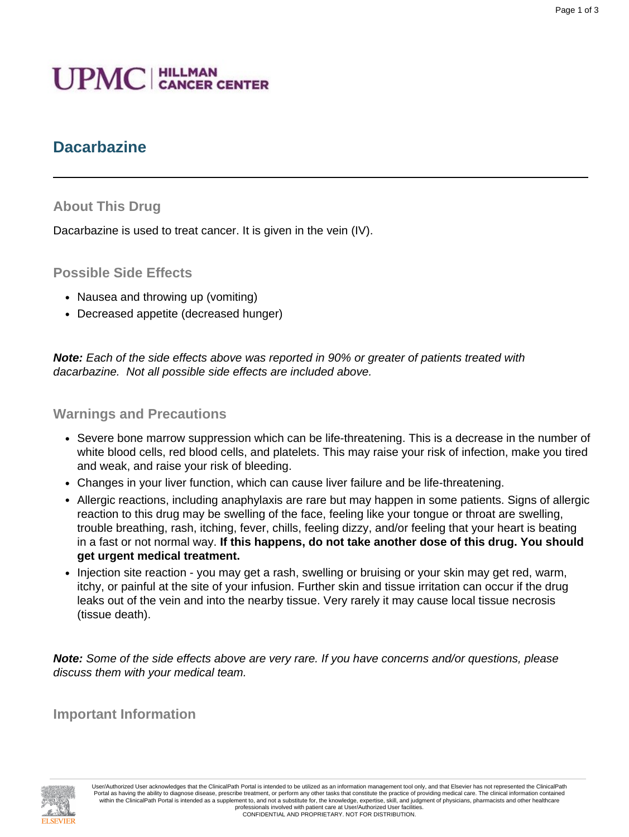# **UPMC** | HILLMAN

## **Dacarbazine**

#### **About This Drug**

Dacarbazine is used to treat cancer. It is given in the vein (IV).

#### **Possible Side Effects**

- Nausea and throwing up (vomiting)
- Decreased appetite (decreased hunger)

**Note:** Each of the side effects above was reported in 90% or greater of patients treated with dacarbazine. Not all possible side effects are included above.

#### **Warnings and Precautions**

- Severe bone marrow suppression which can be life-threatening. This is a decrease in the number of white blood cells, red blood cells, and platelets. This may raise your risk of infection, make you tired and weak, and raise your risk of bleeding.
- Changes in your liver function, which can cause liver failure and be life-threatening.
- Allergic reactions, including anaphylaxis are rare but may happen in some patients. Signs of allergic reaction to this drug may be swelling of the face, feeling like your tongue or throat are swelling, trouble breathing, rash, itching, fever, chills, feeling dizzy, and/or feeling that your heart is beating in a fast or not normal way. **If this happens, do not take another dose of this drug. You should get urgent medical treatment.**
- Injection site reaction you may get a rash, swelling or bruising or your skin may get red, warm, itchy, or painful at the site of your infusion. Further skin and tissue irritation can occur if the drug leaks out of the vein and into the nearby tissue. Very rarely it may cause local tissue necrosis (tissue death).

**Note:** Some of the side effects above are very rare. If you have concerns and/or questions, please discuss them with your medical team.

**Important Information**



User/Authorized User acknowledges that the ClinicalPath Portal is intended to be utilized as an information management tool only, and that Elsevier has not represented the ClinicalPath Portal as having the ability to diagnose disease, prescribe treatment, or perform any other tasks that constitute the practice of providing medical care. The clinical information contained within the ClinicalPath Portal is intended as a supplement to, and not a substitute for, the knowledge, expertise, skill, and judgment of physicians, pharmacists and other healthcare professionals involved with patient care at User/Authorized User facilities. CONFIDENTIAL AND PROPRIETARY. NOT FOR DISTRIBUTION.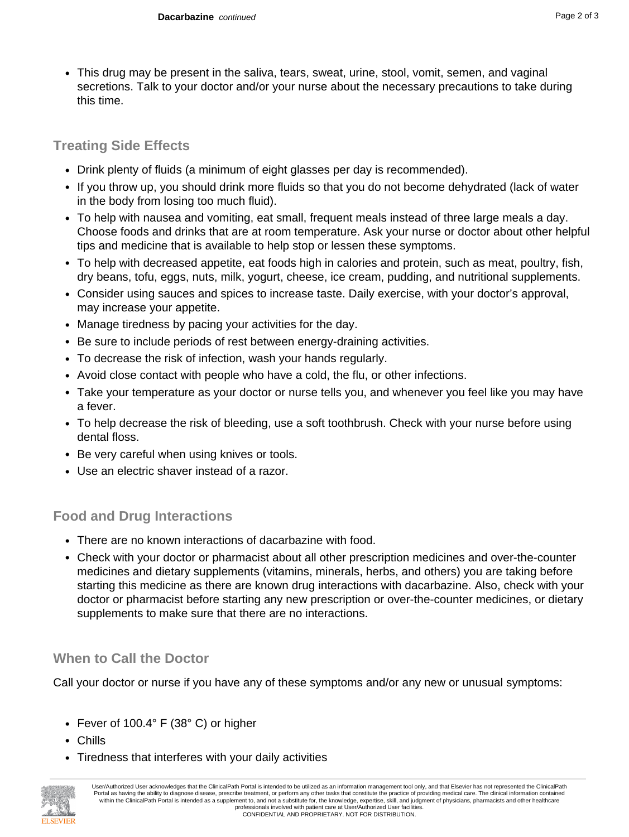• This drug may be present in the saliva, tears, sweat, urine, stool, vomit, semen, and vaginal secretions. Talk to your doctor and/or your nurse about the necessary precautions to take during this time.

### **Treating Side Effects**

- Drink plenty of fluids (a minimum of eight glasses per day is recommended).
- If you throw up, you should drink more fluids so that you do not become dehydrated (lack of water in the body from losing too much fluid).
- To help with nausea and vomiting, eat small, frequent meals instead of three large meals a day. Choose foods and drinks that are at room temperature. Ask your nurse or doctor about other helpful tips and medicine that is available to help stop or lessen these symptoms.
- To help with decreased appetite, eat foods high in calories and protein, such as meat, poultry, fish, dry beans, tofu, eggs, nuts, milk, yogurt, cheese, ice cream, pudding, and nutritional supplements.
- Consider using sauces and spices to increase taste. Daily exercise, with your doctor's approval, may increase your appetite.
- Manage tiredness by pacing your activities for the day.
- Be sure to include periods of rest between energy-draining activities.
- To decrease the risk of infection, wash your hands regularly.
- Avoid close contact with people who have a cold, the flu, or other infections.
- Take your temperature as your doctor or nurse tells you, and whenever you feel like you may have a fever.
- To help decrease the risk of bleeding, use a soft toothbrush. Check with your nurse before using dental floss.
- Be very careful when using knives or tools.
- Use an electric shaver instead of a razor.

## **Food and Drug Interactions**

- There are no known interactions of dacarbazine with food.
- Check with your doctor or pharmacist about all other prescription medicines and over-the-counter medicines and dietary supplements (vitamins, minerals, herbs, and others) you are taking before starting this medicine as there are known drug interactions with dacarbazine. Also, check with your doctor or pharmacist before starting any new prescription or over-the-counter medicines, or dietary supplements to make sure that there are no interactions.

## **When to Call the Doctor**

Call your doctor or nurse if you have any of these symptoms and/or any new or unusual symptoms:

- Fever of 100.4° F (38° C) or higher
- Chills
- Tiredness that interferes with your daily activities